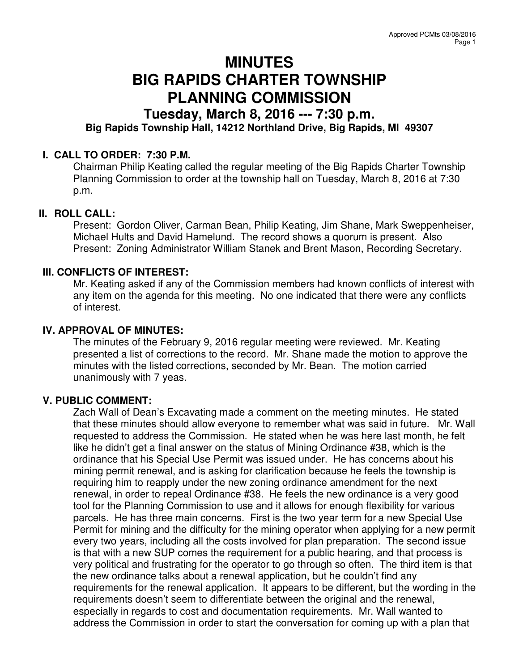# **MINUTES BIG RAPIDS CHARTER TOWNSHIP PLANNING COMMISSION**

## **Tuesday, March 8, 2016 --- 7:30 p.m.**

### **Big Rapids Township Hall, 14212 Northland Drive, Big Rapids, MI 49307**

#### **I. CALL TO ORDER: 7:30 P.M.**

Chairman Philip Keating called the regular meeting of the Big Rapids Charter Township Planning Commission to order at the township hall on Tuesday, March 8, 2016 at 7:30 p.m.

#### **II. ROLL CALL:**

Present: Gordon Oliver, Carman Bean, Philip Keating, Jim Shane, Mark Sweppenheiser, Michael Hults and David Hamelund. The record shows a quorum is present. Also Present: Zoning Administrator William Stanek and Brent Mason, Recording Secretary.

#### **III. CONFLICTS OF INTEREST:**

Mr. Keating asked if any of the Commission members had known conflicts of interest with any item on the agenda for this meeting. No one indicated that there were any conflicts of interest.

#### **IV. APPROVAL OF MINUTES:**

The minutes of the February 9, 2016 regular meeting were reviewed. Mr. Keating presented a list of corrections to the record. Mr. Shane made the motion to approve the minutes with the listed corrections, seconded by Mr. Bean. The motion carried unanimously with 7 yeas.

#### **V. PUBLIC COMMENT:**

Zach Wall of Dean's Excavating made a comment on the meeting minutes. He stated that these minutes should allow everyone to remember what was said in future. Mr. Wall requested to address the Commission. He stated when he was here last month, he felt like he didn't get a final answer on the status of Mining Ordinance #38, which is the ordinance that his Special Use Permit was issued under. He has concerns about his mining permit renewal, and is asking for clarification because he feels the township is requiring him to reapply under the new zoning ordinance amendment for the next renewal, in order to repeal Ordinance #38. He feels the new ordinance is a very good tool for the Planning Commission to use and it allows for enough flexibility for various parcels. He has three main concerns. First is the two year term for a new Special Use Permit for mining and the difficulty for the mining operator when applying for a new permit every two years, including all the costs involved for plan preparation. The second issue is that with a new SUP comes the requirement for a public hearing, and that process is very political and frustrating for the operator to go through so often. The third item is that the new ordinance talks about a renewal application, but he couldn't find any requirements for the renewal application. It appears to be different, but the wording in the requirements doesn't seem to differentiate between the original and the renewal, especially in regards to cost and documentation requirements. Mr. Wall wanted to address the Commission in order to start the conversation for coming up with a plan that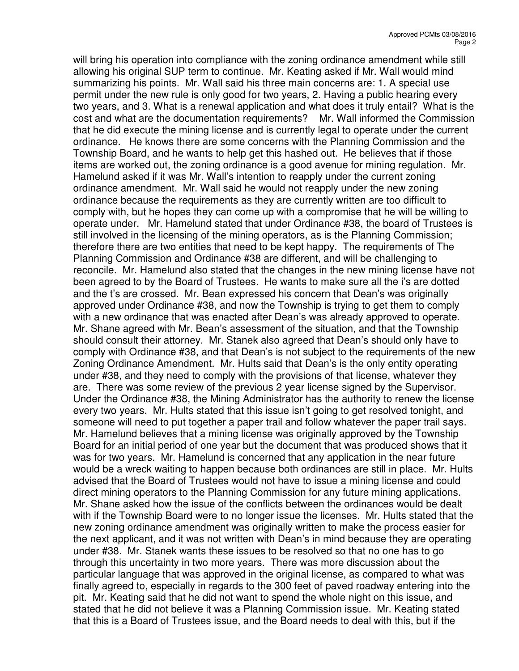will bring his operation into compliance with the zoning ordinance amendment while still allowing his original SUP term to continue. Mr. Keating asked if Mr. Wall would mind summarizing his points. Mr. Wall said his three main concerns are: 1. A special use permit under the new rule is only good for two years, 2. Having a public hearing every two years, and 3. What is a renewal application and what does it truly entail? What is the cost and what are the documentation requirements? Mr. Wall informed the Commission that he did execute the mining license and is currently legal to operate under the current ordinance. He knows there are some concerns with the Planning Commission and the Township Board, and he wants to help get this hashed out. He believes that if those items are worked out, the zoning ordinance is a good avenue for mining regulation. Mr. Hamelund asked if it was Mr. Wall's intention to reapply under the current zoning ordinance amendment. Mr. Wall said he would not reapply under the new zoning ordinance because the requirements as they are currently written are too difficult to comply with, but he hopes they can come up with a compromise that he will be willing to operate under. Mr. Hamelund stated that under Ordinance #38, the board of Trustees is still involved in the licensing of the mining operators, as is the Planning Commission; therefore there are two entities that need to be kept happy. The requirements of The Planning Commission and Ordinance #38 are different, and will be challenging to reconcile. Mr. Hamelund also stated that the changes in the new mining license have not been agreed to by the Board of Trustees. He wants to make sure all the i's are dotted and the t's are crossed. Mr. Bean expressed his concern that Dean's was originally approved under Ordinance #38, and now the Township is trying to get them to comply with a new ordinance that was enacted after Dean's was already approved to operate. Mr. Shane agreed with Mr. Bean's assessment of the situation, and that the Township should consult their attorney. Mr. Stanek also agreed that Dean's should only have to comply with Ordinance #38, and that Dean's is not subject to the requirements of the new Zoning Ordinance Amendment. Mr. Hults said that Dean's is the only entity operating under #38, and they need to comply with the provisions of that license, whatever they are. There was some review of the previous 2 year license signed by the Supervisor. Under the Ordinance #38, the Mining Administrator has the authority to renew the license every two years. Mr. Hults stated that this issue isn't going to get resolved tonight, and someone will need to put together a paper trail and follow whatever the paper trail says. Mr. Hamelund believes that a mining license was originally approved by the Township Board for an initial period of one year but the document that was produced shows that it was for two years. Mr. Hamelund is concerned that any application in the near future would be a wreck waiting to happen because both ordinances are still in place. Mr. Hults advised that the Board of Trustees would not have to issue a mining license and could direct mining operators to the Planning Commission for any future mining applications. Mr. Shane asked how the issue of the conflicts between the ordinances would be dealt with if the Township Board were to no longer issue the licenses. Mr. Hults stated that the new zoning ordinance amendment was originally written to make the process easier for the next applicant, and it was not written with Dean's in mind because they are operating under #38. Mr. Stanek wants these issues to be resolved so that no one has to go through this uncertainty in two more years. There was more discussion about the particular language that was approved in the original license, as compared to what was finally agreed to, especially in regards to the 300 feet of paved roadway entering into the pit. Mr. Keating said that he did not want to spend the whole night on this issue, and stated that he did not believe it was a Planning Commission issue. Mr. Keating stated that this is a Board of Trustees issue, and the Board needs to deal with this, but if the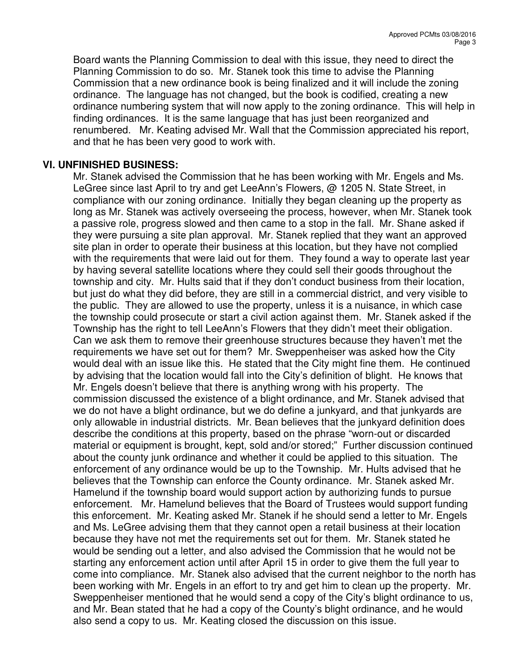Board wants the Planning Commission to deal with this issue, they need to direct the Planning Commission to do so. Mr. Stanek took this time to advise the Planning Commission that a new ordinance book is being finalized and it will include the zoning ordinance. The language has not changed, but the book is codified, creating a new ordinance numbering system that will now apply to the zoning ordinance. This will help in finding ordinances. It is the same language that has just been reorganized and renumbered. Mr. Keating advised Mr. Wall that the Commission appreciated his report, and that he has been very good to work with.

#### **VI. UNFINISHED BUSINESS:**

Mr. Stanek advised the Commission that he has been working with Mr. Engels and Ms. LeGree since last April to try and get LeeAnn's Flowers, @ 1205 N. State Street, in compliance with our zoning ordinance. Initially they began cleaning up the property as long as Mr. Stanek was actively overseeing the process, however, when Mr. Stanek took a passive role, progress slowed and then came to a stop in the fall. Mr. Shane asked if they were pursuing a site plan approval. Mr. Stanek replied that they want an approved site plan in order to operate their business at this location, but they have not complied with the requirements that were laid out for them. They found a way to operate last year by having several satellite locations where they could sell their goods throughout the township and city. Mr. Hults said that if they don't conduct business from their location, but just do what they did before, they are still in a commercial district, and very visible to the public. They are allowed to use the property, unless it is a nuisance, in which case the township could prosecute or start a civil action against them. Mr. Stanek asked if the Township has the right to tell LeeAnn's Flowers that they didn't meet their obligation. Can we ask them to remove their greenhouse structures because they haven't met the requirements we have set out for them? Mr. Sweppenheiser was asked how the City would deal with an issue like this. He stated that the City might fine them. He continued by advising that the location would fall into the City's definition of blight. He knows that Mr. Engels doesn't believe that there is anything wrong with his property. The commission discussed the existence of a blight ordinance, and Mr. Stanek advised that we do not have a blight ordinance, but we do define a junkyard, and that junkyards are only allowable in industrial districts. Mr. Bean believes that the junkyard definition does describe the conditions at this property, based on the phrase "worn-out or discarded material or equipment is brought, kept, sold and/or stored;" Further discussion continued about the county junk ordinance and whether it could be applied to this situation. The enforcement of any ordinance would be up to the Township. Mr. Hults advised that he believes that the Township can enforce the County ordinance. Mr. Stanek asked Mr. Hamelund if the township board would support action by authorizing funds to pursue enforcement. Mr. Hamelund believes that the Board of Trustees would support funding this enforcement. Mr. Keating asked Mr. Stanek if he should send a letter to Mr. Engels and Ms. LeGree advising them that they cannot open a retail business at their location because they have not met the requirements set out for them. Mr. Stanek stated he would be sending out a letter, and also advised the Commission that he would not be starting any enforcement action until after April 15 in order to give them the full year to come into compliance. Mr. Stanek also advised that the current neighbor to the north has been working with Mr. Engels in an effort to try and get him to clean up the property. Mr. Sweppenheiser mentioned that he would send a copy of the City's blight ordinance to us, and Mr. Bean stated that he had a copy of the County's blight ordinance, and he would also send a copy to us. Mr. Keating closed the discussion on this issue.